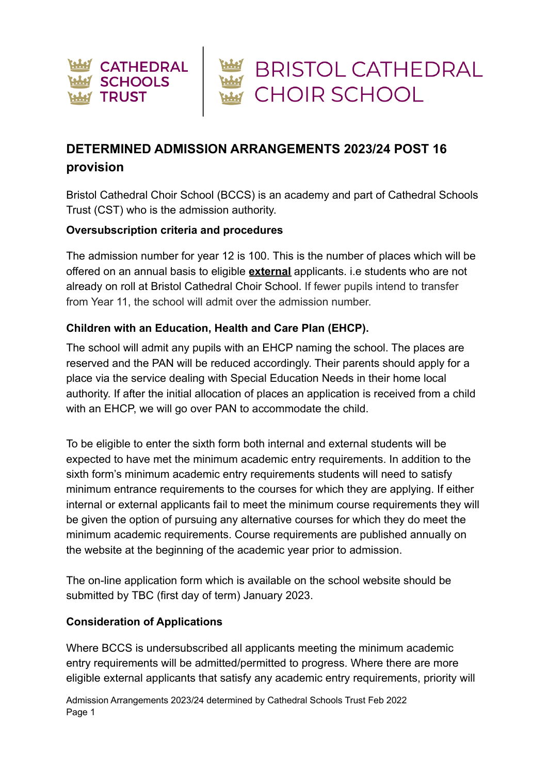

# **DETERMINED ADMISSION ARRANGEMENTS 2023/24 POST 16 provision**

Bristol Cathedral Choir School (BCCS) is an academy and part of Cathedral Schools Trust (CST) who is the admission authority.

#### **Oversubscription criteria and procedures**

The admission number for year 12 is 100. This is the number of places which will be offered on an annual basis to eligible **external** applicants. i.e students who are not already on roll at Bristol Cathedral Choir School. If fewer pupils intend to transfer from Year 11, the school will admit over the admission number.

#### **Children with an Education, Health and Care Plan (EHCP).**

The school will admit any pupils with an EHCP naming the school. The places are reserved and the PAN will be reduced accordingly. Their parents should apply for a place via the service dealing with Special Education Needs in their home local authority. If after the initial allocation of places an application is received from a child with an EHCP, we will go over PAN to accommodate the child.

To be eligible to enter the sixth form both internal and external students will be expected to have met the minimum academic entry requirements. In addition to the sixth form's minimum academic entry requirements students will need to satisfy minimum entrance requirements to the courses for which they are applying. If either internal or external applicants fail to meet the minimum course requirements they will be given the option of pursuing any alternative courses for which they do meet the minimum academic requirements. Course requirements are published annually on the website at the beginning of the academic year prior to admission.

The on-line application form which is available on the school website should be submitted by TBC (first day of term) January 2023.

#### **Consideration of Applications**

Where BCCS is undersubscribed all applicants meeting the minimum academic entry requirements will be admitted/permitted to progress. Where there are more eligible external applicants that satisfy any academic entry requirements, priority will

Admission Arrangements 2023/24 determined by Cathedral Schools Trust Feb 2022 Page 1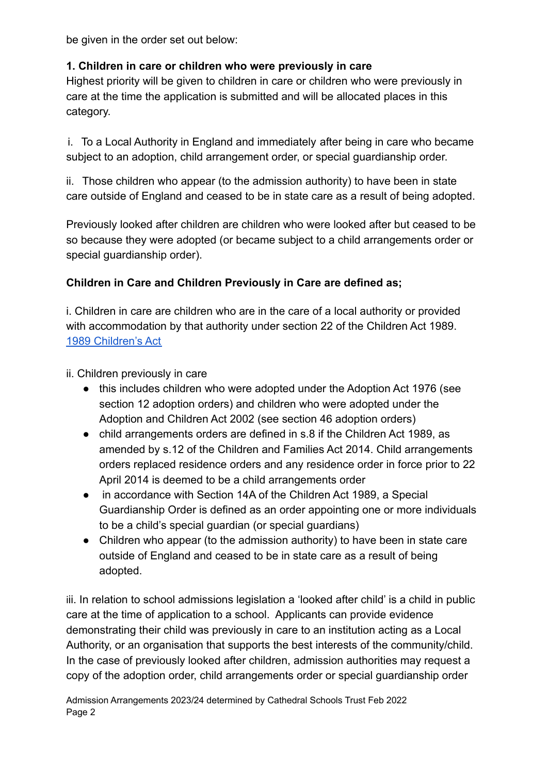be given in the order set out below:

## **1. Children in care or children who were previously in care**

Highest priority will be given to children in care or children who were previously in care at the time the application is submitted and will be allocated places in this category.

i. To a Local Authority in England and immediately after being in care who became subject to an adoption, child arrangement order, or special guardianship order.

ii. Those children who appear (to the admission authority) to have been in state care outside of England and ceased to be in state care as a result of being adopted.

Previously looked after children are children who were looked after but ceased to be so because they were adopted (or became subject to a child arrangements order or special guardianship order).

# **Children in Care and Children Previously in Care are defined as;**

i. Children in care are children who are in the care of a local authority or provided with accommodation by that authority under section 22 of the Children Act 1989. [1989 Children's Act](https://www.legislation.gov.uk/ukpga/1989/41/contents)

ii. Children previously in care

- this includes children who were adopted under the Adoption Act 1976 (see section 12 adoption orders) and children who were adopted under the Adoption and Children Act 2002 (see section 46 adoption orders)
- child arrangements orders are defined in s.8 if the Children Act 1989, as amended by s.12 of the Children and Families Act 2014. Child arrangements orders replaced residence orders and any residence order in force prior to 22 April 2014 is deemed to be a child arrangements order
- in accordance with Section 14A of the Children Act 1989, a Special Guardianship Order is defined as an order appointing one or more individuals to be a child's special guardian (or special guardians)
- Children who appear (to the admission authority) to have been in state care outside of England and ceased to be in state care as a result of being adopted.

iii. In relation to school admissions legislation a 'looked after child' is a child in public care at the time of application to a school. Applicants can provide evidence demonstrating their child was previously in care to an institution acting as a Local Authority, or an organisation that supports the best interests of the community/child. In the case of previously looked after children, admission authorities may request a copy of the adoption order, child arrangements order or special guardianship order

Admission Arrangements 2023/24 determined by Cathedral Schools Trust Feb 2022 Page 2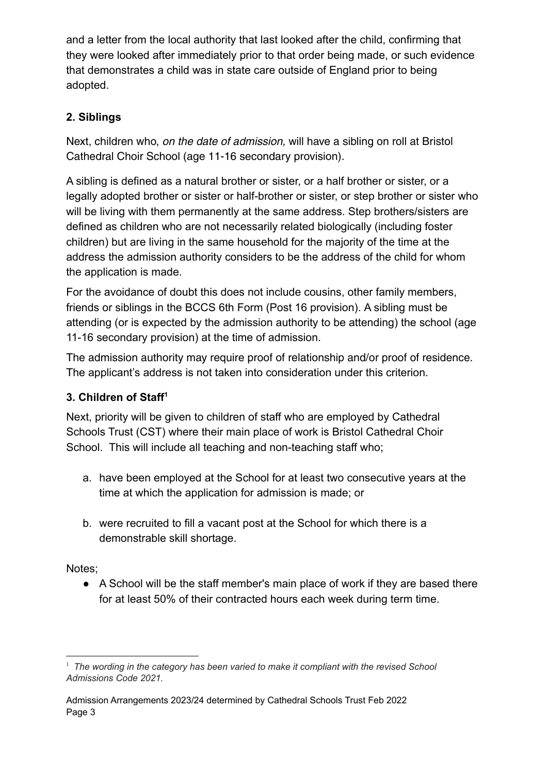and a letter from the local authority that last looked after the child, confirming that they were looked after immediately prior to that order being made, or such evidence that demonstrates a child was in state care outside of England prior to being adopted.

# **2. Siblings**

Next, children who, on the date of admission, will have a sibling on roll at Bristol Cathedral Choir School (age 11-16 secondary provision).

A sibling is defined as a natural brother or sister, or a half brother or sister, or a legally adopted brother or sister or half-brother or sister, or step brother or sister who will be living with them permanently at the same address. Step brothers/sisters are defined as children who are not necessarily related biologically (including foster children) but are living in the same household for the majority of the time at the address the admission authority considers to be the address of the child for whom the application is made.

For the avoidance of doubt this does not include cousins, other family members, friends or siblings in the BCCS 6th Form (Post 16 provision). A sibling must be attending (or is expected by the admission authority to be attending) the school (age 11-16 secondary provision) at the time of admission.

The admission authority may require proof of relationship and/or proof of residence. The applicant's address is not taken into consideration under this criterion.

### **3. Children of Staff<sup>1</sup>**

Next, priority will be given to children of staff who are employed by Cathedral Schools Trust (CST) where their main place of work is Bristol Cathedral Choir School. This will include all teaching and non-teaching staff who;

- a. have been employed at the School for at least two consecutive years at the time at which the application for admission is made; or
- b. were recruited to fill a vacant post at the School for which there is a demonstrable skill shortage.

Notes;

● A School will be the staff member's main place of work if they are based there for at least 50% of their contracted hours each week during term time.

<sup>1</sup> *The wording in the category has been varied to make it compliant with the revised School Admissions Code 2021.*

Admission Arrangements 2023/24 determined by Cathedral Schools Trust Feb 2022 Page 3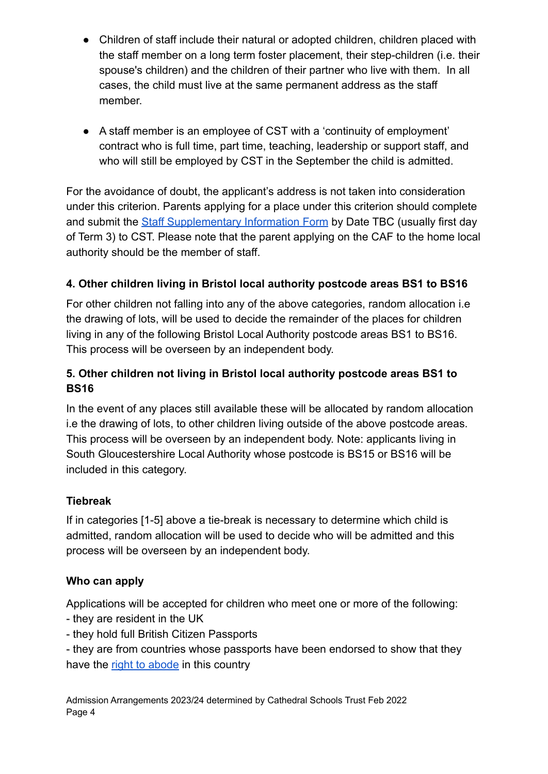- Children of staff include their natural or adopted children, children placed with the staff member on a long term foster placement, their step-children (i.e. their spouse's children) and the children of their partner who live with them. In all cases, the child must live at the same permanent address as the staff member.
- A staff member is an employee of CST with a 'continuity of employment' contract who is full time, part time, teaching, leadership or support staff, and who will still be employed by CST in the September the child is admitted.

For the avoidance of doubt, the applicant's address is not taken into consideration under this criterion. Parents applying for a place under this criterion should complete and submit the [Staff Supplementary Information Form](https://docs.google.com/document/d/1yxDHUU-M0oH8RbqhixKVZ0wZBZqjm_PM/edit?usp=sharing&ouid=111971969837556975984&rtpof=true&sd=true) by Date TBC (usually first day of Term 3) to CST. Please note that the parent applying on the CAF to the home local authority should be the member of staff.

## **4. Other children living in Bristol local authority postcode areas BS1 to BS16**

For other children not falling into any of the above categories, random allocation i.e the drawing of lots, will be used to decide the remainder of the places for children living in any of the following Bristol Local Authority postcode areas BS1 to BS16. This process will be overseen by an independent body.

## **5. Other children not living in Bristol local authority postcode areas BS1 to BS16**

In the event of any places still available these will be allocated by random allocation i.e the drawing of lots, to other children living outside of the above postcode areas. This process will be overseen by an independent body. Note: applicants living in South Gloucestershire Local Authority whose postcode is BS15 or BS16 will be included in this category.

### **Tiebreak**

If in categories [1-5] above a tie-break is necessary to determine which child is admitted, random allocation will be used to decide who will be admitted and this process will be overseen by an independent body.

### **Who can apply**

Applications will be accepted for children who meet one or more of the following:

- they are resident in the UK
- they hold full British Citizen Passports
- they are from countries whose passports have been endorsed to show that they have the [right to abode](https://www.gov.uk/right-of-abode) in this country

Admission Arrangements 2023/24 determined by Cathedral Schools Trust Feb 2022 Page 4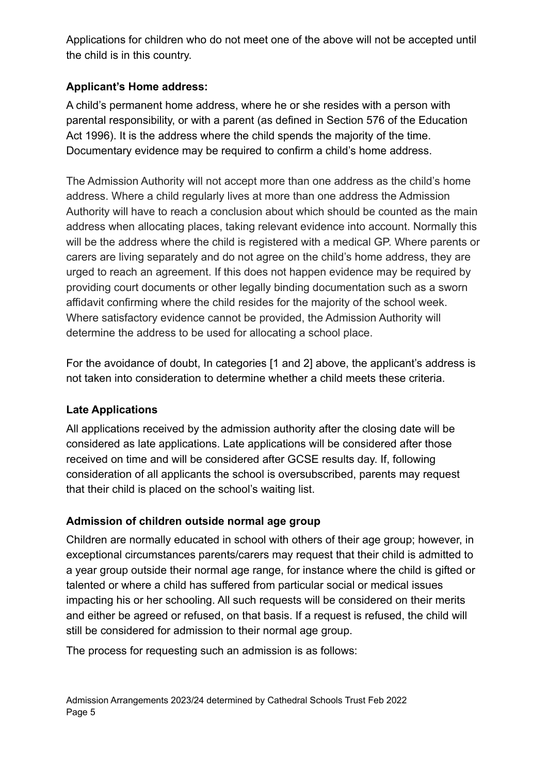Applications for children who do not meet one of the above will not be accepted until the child is in this country.

# **Applicant's Home address:**

A child's permanent home address, where he or she resides with a person with parental responsibility, or with a parent (as defined in Section 576 of the Education Act 1996). It is the address where the child spends the majority of the time. Documentary evidence may be required to confirm a child's home address.

The Admission Authority will not accept more than one address as the child's home address. Where a child regularly lives at more than one address the Admission Authority will have to reach a conclusion about which should be counted as the main address when allocating places, taking relevant evidence into account. Normally this will be the address where the child is registered with a medical GP. Where parents or carers are living separately and do not agree on the child's home address, they are urged to reach an agreement. If this does not happen evidence may be required by providing court documents or other legally binding documentation such as a sworn affidavit confirming where the child resides for the majority of the school week. Where satisfactory evidence cannot be provided, the Admission Authority will determine the address to be used for allocating a school place.

For the avoidance of doubt, In categories [1 and 2] above, the applicant's address is not taken into consideration to determine whether a child meets these criteria.

### **Late Applications**

All applications received by the admission authority after the closing date will be considered as late applications. Late applications will be considered after those received on time and will be considered after GCSE results day. If, following consideration of all applicants the school is oversubscribed, parents may request that their child is placed on the school's waiting list.

### **Admission of children outside normal age group**

Children are normally educated in school with others of their age group; however, in exceptional circumstances parents/carers may request that their child is admitted to a year group outside their normal age range, for instance where the child is gifted or talented or where a child has suffered from particular social or medical issues impacting his or her schooling. All such requests will be considered on their merits and either be agreed or refused, on that basis. If a request is refused, the child will still be considered for admission to their normal age group.

The process for requesting such an admission is as follows: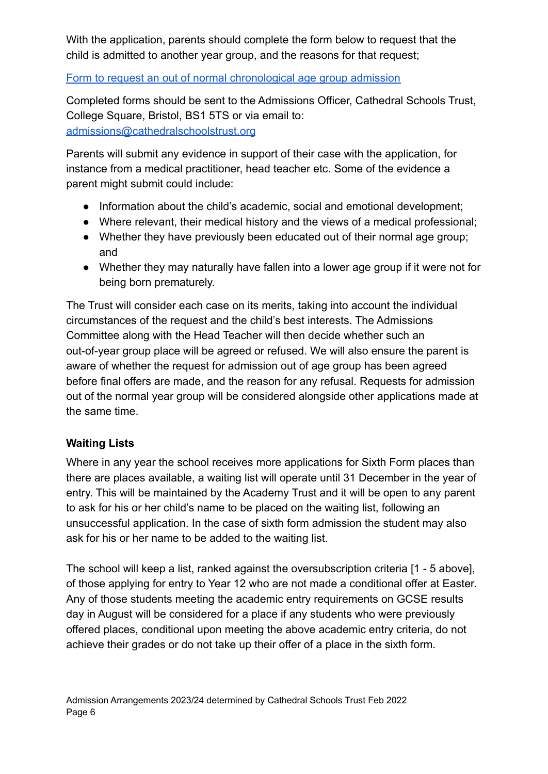With the application, parents should complete the form below to request that the child is admitted to another year group, and the reasons for that request;

#### [Form to request an out of normal chronological age group admission](https://docs.google.com/document/d/1f03DI-I5IKAKWaojrsTEV8_uJuoPcLn5/edit?usp=sharing&ouid=111971969837556975984&rtpof=true&sd=true)

Completed forms should be sent to the Admissions Officer, Cathedral Schools Trust, College Square, Bristol, BS1 5TS or via email to: [admissions@cathedralschoolstrust.org](mailto:admissions@cathedralschoolstrust.org)

Parents will submit any evidence in support of their case with the application, for instance from a medical practitioner, head teacher etc. Some of the evidence a parent might submit could include:

- Information about the child's academic, social and emotional development;
- Where relevant, their medical history and the views of a medical professional;
- Whether they have previously been educated out of their normal age group; and
- Whether they may naturally have fallen into a lower age group if it were not for being born prematurely.

The Trust will consider each case on its merits, taking into account the individual circumstances of the request and the child's best interests. The Admissions Committee along with the Head Teacher will then decide whether such an out-of-year group place will be agreed or refused. We will also ensure the parent is aware of whether the request for admission out of age group has been agreed before final offers are made, and the reason for any refusal. Requests for admission out of the normal year group will be considered alongside other applications made at the same time.

### **Waiting Lists**

Where in any year the school receives more applications for Sixth Form places than there are places available, a waiting list will operate until 31 December in the year of entry. This will be maintained by the Academy Trust and it will be open to any parent to ask for his or her child's name to be placed on the waiting list, following an unsuccessful application. In the case of sixth form admission the student may also ask for his or her name to be added to the waiting list.

The school will keep a list, ranked against the oversubscription criteria [1 - 5 above], of those applying for entry to Year 12 who are not made a conditional offer at Easter. Any of those students meeting the academic entry requirements on GCSE results day in August will be considered for a place if any students who were previously offered places, conditional upon meeting the above academic entry criteria, do not achieve their grades or do not take up their offer of a place in the sixth form.